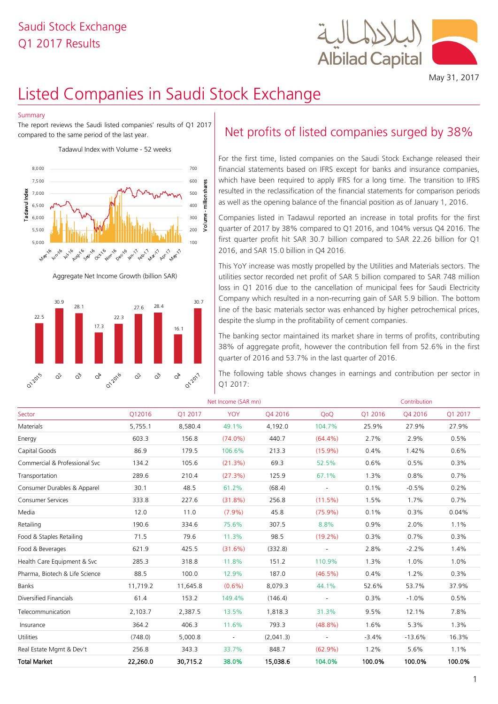## Q1 2017 Results Saudi Stock Exchange



May 31, 2017

# Listed Companies in Saudi Stock Exchange

#### Summary

The report reviews the Saudi listed companies' results of Q1 2017 compared to the same period of the last year.

Tadawul Index with Volume - 52 weeks



Aggregate Net Income Growth (billion SAR)



## Net profits of listed companies surged by 38%

For the first time, listed companies on the Saudi Stock Exchange released their financial statements based on IFRS except for banks and insurance companies, which have been required to apply IFRS for a long time. The transition to IFRS resulted in the reclassification of the financial statements for comparison periods as well as the opening balance of the financial position as of January 1, 2016.

Companies listed in Tadawul reported an increase in total profits for the first quarter of 2017 by 38% compared to Q1 2016, and 104% versus Q4 2016. The first quarter profit hit SAR 30.7 billion compared to SAR 22.26 billion for Q1 2016, and SAR 15.0 billion in Q4 2016.

This YoY increase was mostly propelled by the Utilities and Materials sectors. The utilities sector recorded net profit of SAR 5 billion compared to SAR 748 million loss in Q1 2016 due to the cancellation of municipal fees for Saudi Electricity Company which resulted in a non-recurring gain of SAR 5.9 billion. The bottom line of the basic materials sector was enhanced by higher petrochemical prices, despite the slump in the profitability of cement companies.

| 22.5<br>17.3                                                                        | 22.3                                   |                                                | despite the slump in the profitability of cement companies. |           |                                                                                                                                                                                                                              |         |              |         |
|-------------------------------------------------------------------------------------|----------------------------------------|------------------------------------------------|-------------------------------------------------------------|-----------|------------------------------------------------------------------------------------------------------------------------------------------------------------------------------------------------------------------------------|---------|--------------|---------|
|                                                                                     |                                        | 16.1                                           |                                                             |           | The banking sector maintained its market share in terms of profits, contributing<br>38% of aggregate profit, however the contribution fell from 52.6% in the first<br>quarter of 2016 and 53.7% in the last quarter of 2016. |         |              |         |
| $\vec{C}$<br>$\varphi_{\!\scriptscriptstyle\mathrm{P}}$<br>012015<br>$\hat{\alpha}$ | $\vec{O}$<br>01-2016<br>$\hat{\alpha}$ | $\mathcal{O}_{\widetilde{V}}$<br><b>012017</b> | Q1 2017:                                                    |           | The following table shows changes in earnings and contribution per sector in                                                                                                                                                 |         |              |         |
|                                                                                     |                                        |                                                | Net Income (SAR mn)                                         |           |                                                                                                                                                                                                                              |         | Contribution |         |
| Sector                                                                              | Q12016                                 | Q1 2017                                        | <b>YOY</b>                                                  | Q4 2016   | QoQ                                                                                                                                                                                                                          | Q1 2016 | Q4 2016      | Q1 2017 |
| Materials                                                                           | 5,755.1                                | 8,580.4                                        | 49.1%                                                       | 4,192.0   | 104.7%                                                                                                                                                                                                                       | 25.9%   | 27.9%        | 27.9%   |
| Energy                                                                              | 603.3                                  | 156.8                                          | $(74.0\%)$                                                  | 440.7     | $(64.4\%)$                                                                                                                                                                                                                   | 2.7%    | 2.9%         | 0.5%    |
| Capital Goods                                                                       | 86.9                                   | 179.5                                          | 106.6%                                                      | 213.3     | $(15.9\%)$                                                                                                                                                                                                                   | 0.4%    | 1.42%        | 0.6%    |
| Commercial & Professional Svc                                                       | 134.2                                  | 105.6                                          | (21.3%)                                                     | 69.3      | 52.5%                                                                                                                                                                                                                        | 0.6%    | 0.5%         | 0.3%    |
| Transportation                                                                      | 289.6                                  | 210.4                                          | (27.3%)                                                     | 125.9     | 67.1%                                                                                                                                                                                                                        | 1.3%    | 0.8%         | 0.7%    |
| Consumer Durables & Apparel                                                         | 30.1                                   | 48.5                                           | 61.2%                                                       | (68.4)    | $\overline{\phantom{a}}$                                                                                                                                                                                                     | 0.1%    | $-0.5%$      | 0.2%    |
| <b>Consumer Services</b>                                                            | 333.8                                  | 227.6                                          | $(31.8\%)$                                                  | 256.8     | (11.5%)                                                                                                                                                                                                                      | 1.5%    | 1.7%         | 0.7%    |
| Media                                                                               | 12.0                                   | 11.0                                           | $(7.9\%)$                                                   | 45.8      | $(75.9\%)$                                                                                                                                                                                                                   | 0.1%    | 0.3%         | 0.04%   |
| Retailing                                                                           | 190.6                                  | 334.6                                          | 75.6%                                                       | 307.5     | 8.8%                                                                                                                                                                                                                         | 0.9%    | 2.0%         | 1.1%    |
| Food & Staples Retailing                                                            | 71.5                                   | 79.6                                           | 11.3%                                                       | 98.5      | $(19.2\%)$                                                                                                                                                                                                                   | 0.3%    | 0.7%         | 0.3%    |
| Food & Beverages                                                                    | 621.9                                  | 425.5                                          | (31.6%)                                                     | (332.8)   | $\overline{\phantom{a}}$                                                                                                                                                                                                     | 2.8%    | $-2.2%$      | 1.4%    |
| Health Care Equipment & Svc                                                         | 285.3                                  | 318.8                                          | 11.8%                                                       | 151.2     | 110.9%                                                                                                                                                                                                                       | 1.3%    | 1.0%         | 1.0%    |
| Pharma, Biotech & Life Science                                                      | 88.5                                   | 100.0                                          | 12.9%                                                       | 187.0     | (46.5%)                                                                                                                                                                                                                      | 0.4%    | 1.2%         | 0.3%    |
| <b>Banks</b>                                                                        | 11,719.2                               | 11,645.8                                       | $(0.6\%)$                                                   | 8,079.3   | 44.1%                                                                                                                                                                                                                        | 52.6%   | 53.7%        | 37.9%   |
| Diversified Financials                                                              | 61.4                                   | 153.2                                          | 149.4%                                                      | (146.4)   |                                                                                                                                                                                                                              | 0.3%    | $-1.0%$      | 0.5%    |
| Telecommunication                                                                   | 2,103.7                                | 2,387.5                                        | 13.5%                                                       | 1,818.3   | 31.3%                                                                                                                                                                                                                        | 9.5%    | 12.1%        | 7.8%    |
| Insurance                                                                           | 364.2                                  | 406.3                                          | 11.6%                                                       | 793.3     | $(48.8\%)$                                                                                                                                                                                                                   | 1.6%    | 5.3%         | 1.3%    |
| Utilities                                                                           | (748.0)                                | 5,000.8                                        |                                                             | (2,041.3) |                                                                                                                                                                                                                              | $-3.4%$ | $-13.6%$     | 16.3%   |
| Real Estate Mgmt & Dev't                                                            | 256.8                                  | 343.3                                          | 33.7%                                                       | 848.7     | $(62.9\%)$                                                                                                                                                                                                                   | 1.2%    | 5.6%         | 1.1%    |
| <b>Total Market</b>                                                                 | 22,260.0                               | 30,715.2                                       | 38.0%                                                       | 15,038.6  | 104.0%                                                                                                                                                                                                                       | 100.0%  | 100.0%       | 100.0%  |
|                                                                                     |                                        |                                                |                                                             |           |                                                                                                                                                                                                                              |         |              |         |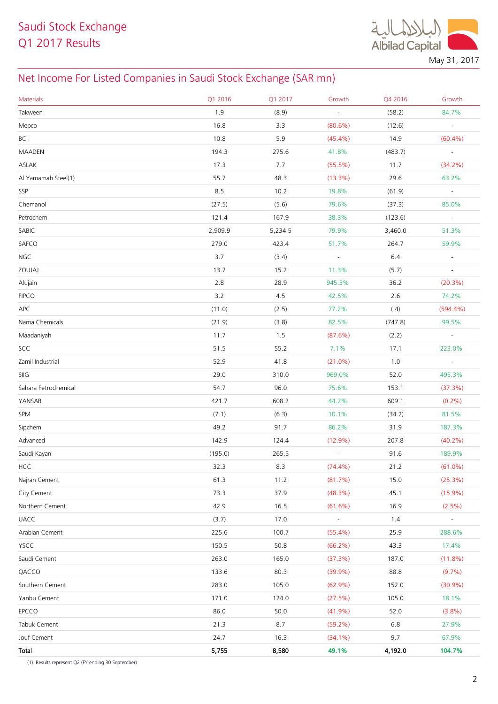$\ddot{a}$ **Albilad Capital** May 31, 2017

## Net Income For Listed Companies in Saudi Stock Exchange (SAR mn)

| <b>Materials</b>     | Q1 2016 | Q1 2017 | Growth                   | Q4 2016 | Growth                   |
|----------------------|---------|---------|--------------------------|---------|--------------------------|
| Takween              | 1.9     | (8.9)   |                          | (58.2)  | 84.7%                    |
| Mepco                | 16.8    | 3.3     | $(80.6\%)$               | (12.6)  | $\Box$                   |
| <b>BCI</b>           | 10.8    | 5.9     | $(45.4\%)$               | 14.9    | $(60.4\%)$               |
| <b>MAADEN</b>        | 194.3   | 275.6   | 41.8%                    | (483.7) | $\blacksquare$           |
| ASLAK                | 17.3    | 7.7     | $(55.5\%)$               | 11.7    | $(34.2\%)$               |
| Al Yamamah Steel(1)  | 55.7    | 48.3    | $(13.3\%)$               | 29.6    | 63.2%                    |
| SSP                  | 8.5     | 10.2    | 19.8%                    | (61.9)  | $\Box$                   |
| Chemanol             | (27.5)  | (5.6)   | 79.6%                    | (37.3)  | 85.0%                    |
| Petrochem            | 121.4   | 167.9   | 38.3%                    | (123.6) | $\overline{\phantom{a}}$ |
| SABIC                | 2,909.9 | 5,234.5 | 79.9%                    | 3,460.0 | 51.3%                    |
| SAFCO                | 279.0   | 423.4   | 51.7%                    | 264.7   | 59.9%                    |
| <b>NGC</b>           | 3.7     | (3.4)   | $\overline{\phantom{a}}$ | 6.4     | $\overline{\phantom{a}}$ |
| ZOUJAJ               | 13.7    | 15.2    | 11.3%                    | (5.7)   | $\overline{\phantom{a}}$ |
| Alujain              | 2.8     | 28.9    | 945.3%                   | 36.2    | $(20.3\%)$               |
| <b>FIPCO</b>         | 3.2     | 4.5     | 42.5%                    | 2.6     | 74.2%                    |
| APC                  | (11.0)  | (2.5)   | 77.2%                    | (.4)    | $(594.4\%)$              |
| Nama Chemicals       | (21.9)  | (3.8)   | 82.5%                    | (747.8) | 99.5%                    |
| Maadaniyah           | 11.7    | 1.5     | (87.6%)                  | (2.2)   | $\equiv$                 |
| SCC                  | 51.5    | 55.2    | 7.1%                     | 17.1    | 223.0%                   |
| Zamil Industrial     | 52.9    | 41.8    | $(21.0\%)$               | 1.0     | $\equiv$                 |
| SIIG                 | 29.0    | 310.0   | 969.0%                   | 52.0    | 495.3%                   |
| Sahara Petrochemical | 54.7    | 96.0    | 75.6%                    | 153.1   | (37.3%)                  |
| YANSAB               | 421.7   | 608.2   | 44.2%                    | 609.1   | $(0.2\%)$                |
| SPM                  | (7.1)   | (6.3)   | 10.1%                    | (34.2)  | 81.5%                    |
| Sipchem              | 49.2    | 91.7    | 86.2%                    | 31.9    | 187.3%                   |
| Advanced             | 142.9   | 124.4   | $(12.9\%)$               | 207.8   | $(40.2\%)$               |
| Saudi Kayan          | (195.0) | 265.5   | $\overline{\phantom{a}}$ | 91.6    | 189.9%                   |
| <b>HCC</b>           | 32.3    | 8.3     | $(74.4\%)$               | 21.2    | $(61.0\%)$               |
| Najran Cement        | 61.3    | 11.2    | (81.7%)                  | 15.0    | (25.3%)                  |
| City Cement          | 73.3    | 37.9    | $(48.3\%)$               | 45.1    | $(15.9\%)$               |
| Northern Cement      | 42.9    | 16.5    | $(61.6\%)$               | 16.9    | $(2.5\%)$                |
| <b>UACC</b>          | (3.7)   | 17.0    | $\overline{\phantom{a}}$ | 1.4     | $\overline{\phantom{a}}$ |
| Arabian Cement       | 225.6   | 100.7   | $(55.4\%)$               | 25.9    | 288.6%                   |
| <b>YSCC</b>          | 150.5   | 50.8    | $(66.2\%)$               | 43.3    | 17.4%                    |
| Saudi Cement         | 263.0   | 165.0   | (37.3%)                  | 187.0   | $(11.8\%)$               |
| QACCO                | 133.6   | 80.3    | (39.9%)                  | 88.8    | $(9.7\%)$                |
| Southern Cement      | 283.0   | 105.0   | $(62.9\%)$               | 152.0   | $(30.9\%)$               |
| Yanbu Cement         | 171.0   | 124.0   | (27.5%)                  | 105.0   | 18.1%                    |
| EPCCO                | 86.0    | 50.0    | $(41.9\%)$               | 52.0    | (3.8%)                   |
| Tabuk Cement         | 21.3    | 8.7     | $(59.2\%)$               | 6.8     | 27.9%                    |
| Jouf Cement          | 24.7    | 16.3    | $(34.1\%)$               | 9.7     | 67.9%                    |
| Total                | 5,755   | 8,580   | 49.1%                    | 4,192.0 | 104.7%                   |

(1) Results represent Q2 (FY ending 30 September)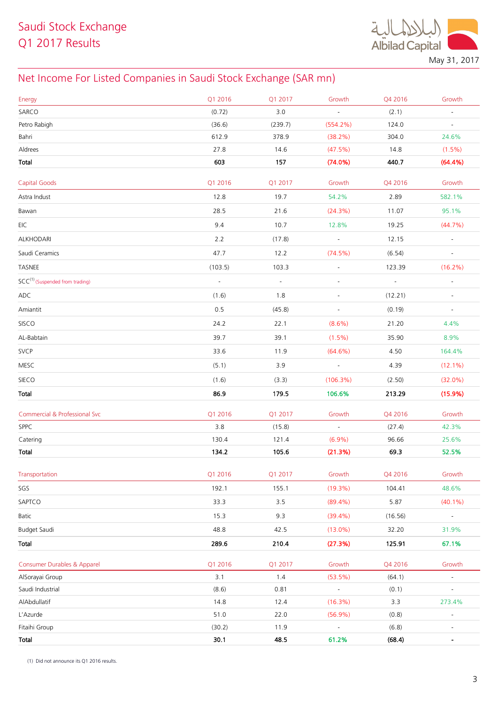

May 31, 2017

## Net Income For Listed Companies in Saudi Stock Exchange (SAR mn)

| Energy                                      | Q1 2016  | Q1 2017  | Growth                   | Q4 2016 | Growth                   |
|---------------------------------------------|----------|----------|--------------------------|---------|--------------------------|
| SARCO                                       | (0.72)   | 3.0      | $\overline{\phantom{a}}$ | (2.1)   | $\blacksquare$           |
| Petro Rabigh                                | (36.6)   | (239.7)  | (554.2%)                 | 124.0   | $\overline{\phantom{a}}$ |
| Bahri                                       | 612.9    | 378.9    | (38.2%)                  | 304.0   | 24.6%                    |
| Aldrees                                     | 27.8     | 14.6     | (47.5%)                  | 14.8    | $(1.5\%)$                |
| Total                                       | 603      | 157      | (74.0%)                  | 440.7   | (64.4%)                  |
| <b>Capital Goods</b>                        | Q1 2016  | Q1 2017  | Growth                   | Q4 2016 | Growth                   |
| Astra Indust                                | 12.8     | 19.7     | 54.2%                    | 2.89    | 582.1%                   |
| Bawan                                       | 28.5     | 21.6     | (24.3%)                  | 11.07   | 95.1%                    |
| EIC                                         | 9.4      | 10.7     | 12.8%                    | 19.25   | (44.7%)                  |
| ALKHODARI                                   | 2.2      | (17.8)   | $\omega_{\rm{eff}}$      | 12.15   | $\sim$                   |
| Saudi Ceramics                              | 47.7     | 12.2     | (74.5%)                  | (6.54)  | $\overline{\phantom{a}}$ |
| TASNEE                                      | (103.5)  | 103.3    | $\omega$                 | 123.39  | $(16.2\%)$               |
| SCC <sup>(1)</sup> (Suspended from trading) | $\omega$ | $\equiv$ |                          | $\Box$  | $\blacksquare$           |
| ADC                                         | (1.6)    | 1.8      | $\overline{\phantom{a}}$ | (12.21) | $\overline{\phantom{a}}$ |
| Amiantit                                    | 0.5      | (45.8)   | $\blacksquare$           | (0.19)  | $\blacksquare$           |
| SISCO                                       | 24.2     | 22.1     | $(8.6\%)$                | 21.20   | 4.4%                     |
| AL-Babtain                                  | 39.7     | 39.1     | $(1.5\%)$                | 35.90   | 8.9%                     |
| <b>SVCP</b>                                 | 33.6     | 11.9     | $(64.6\%)$               | 4.50    | 164.4%                   |
| MESC                                        | (5.1)    | 3.9      | $\sim$                   | 4.39    | $(12.1\%)$               |
| SIECO                                       | (1.6)    | (3.3)    | $(106.3\%)$              | (2.50)  | $(32.0\%)$               |
| Total                                       | 86.9     | 179.5    | 106.6%                   | 213.29  | (15.9%)                  |
| Commercial & Professional Svc               | Q1 2016  | Q1 2017  | Growth                   | Q4 2016 | Growth                   |
| SPPC                                        | 3.8      | (15.8)   | $\blacksquare$           | (27.4)  | 42.3%                    |
| Catering                                    | 130.4    | 121.4    | $(6.9\%)$                | 96.66   | 25.6%                    |
| Total                                       | 134.2    | 105.6    | (21.3%)                  | 69.3    | 52.5%                    |
| Transportation                              | Q1 2016  | Q1 2017  | Growth                   | Q4 2016 | Growth                   |
| SGS                                         | 192.1    | 155.1    | $(19.3\%)$               | 104.41  | 48.6%                    |
| SAPTCO                                      | 33.3     | 3.5      | $(89.4\%)$               | 5.87    | $(40.1\%)$               |
| Batic                                       | 15.3     | 9.3      | $(39.4\%)$               | (16.56) | $\overline{\phantom{a}}$ |
| Budget Saudi                                | 48.8     | 42.5     | $(13.0\%)$               | 32.20   | 31.9%                    |
| Total                                       | 289.6    | 210.4    | (27.3%)                  | 125.91  | 67.1%                    |
| Consumer Durables & Apparel                 | Q1 2016  | Q1 2017  | Growth                   | Q4 2016 | Growth                   |
| AlSorayai Group                             | 3.1      | 1.4      | $(53.5\%)$               | (64.1)  | ÷                        |
| Saudi Industrial                            | (8.6)    | 0.81     | $\overline{\phantom{a}}$ | (0.1)   | $\frac{1}{2}$            |
| AlAbdullatif                                | 14.8     | 12.4     | (16.3%)                  | 3.3     | 273.4%                   |
| L'Azurde                                    | 51.0     | 22.0     | $(56.9\%)$               | (0.8)   | $\overline{\phantom{a}}$ |
| Fitaihi Group                               | (30.2)   | 11.9     | $\frac{1}{2}$            | (6.8)   | $\blacksquare$           |
| Total                                       | 30.1     | 48.5     | 61.2%                    | (68.4)  | $\blacksquare$           |

(1) Did not announce its Q1 2016 results.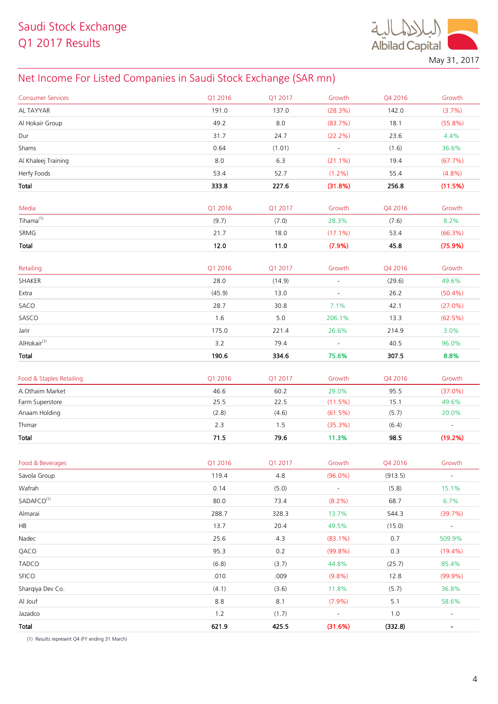

## Net Income For Listed Companies in Saudi Stock Exchange (SAR mn)

| <b>Consumer Services</b>         | Q1 2016 | Q1 2017 | Growth                   | Q4 2016 | Growth                       |
|----------------------------------|---------|---------|--------------------------|---------|------------------------------|
| AL TAYYAR                        | 191.0   | 137.0   | (28.3%)                  | 142.0   | (3.7%)                       |
| Al Hokair Group                  | 49.2    | 8.0     | (83.7%)                  | 18.1    | $(55.8\%)$                   |
| Dur                              | 31.7    | 24.7    | $(22.2\%)$               | 23.6    | 4.4%                         |
| Shams                            | 0.64    | (1.01)  | $\overline{\phantom{a}}$ | (1.6)   | 36.6%                        |
| Al Khaleej Training              | 8.0     | 6.3     | $(21.1\%)$               | 19.4    | (67.7%)                      |
| Herfy Foods                      | 53.4    | 52.7    | $(1.2\%)$                | 55.4    | $(4.8\%)$                    |
| Total                            | 333.8   | 227.6   | (31.8%)                  | 256.8   | (11.5%)                      |
|                                  |         |         |                          |         |                              |
| Media                            | Q1 2016 | Q1 2017 | Growth                   | Q4 2016 | Growth                       |
| $Tihama^{(1)}$                   | (9.7)   | (7.0)   | 28.3%                    | (7.6)   | 8.2%                         |
| SRMG                             | 21.7    | 18.0    | $(17.1\%)$               | 53.4    | (66.3%)                      |
| Total                            | 12.0    | 11.0    | (7.9%)                   | 45.8    | (75.9%)                      |
|                                  |         |         |                          |         |                              |
| Retailing                        | Q1 2016 | Q1 2017 | Growth                   | Q4 2016 | Growth                       |
| SHAKER                           | 28.0    | (14.9)  |                          | (29.6)  | 49.6%                        |
| Extra                            | (45.9)  | 13.0    | $\blacksquare$           | 26.2    | $(50.4\%)$                   |
| SACO                             | 28.7    | 30.8    | 7.1%                     | 42.1    | $(27.0\%)$                   |
| SASCO                            | 1.6     | 5.0     | 206.1%                   | 13.3    | $(62.5\%)$                   |
| Jarir                            | 175.0   | 221.4   | 26.6%                    | 214.9   | 3.0%                         |
| AlHokair <sup>(1)</sup>          | 3.2     | 79.4    | $\blacksquare$           | 40.5    | 96.0%                        |
| Total                            | 190.6   | 334.6   | 75.6%                    | 307.5   | 8.8%                         |
| Food & Staples Retailing         | Q1 2016 | Q1 2017 | Growth                   | Q4 2016 | Growth                       |
| A.Othaim Market                  | 46.6    | 60.2    | 29.0%                    | 95.5    | $(37.0\%)$                   |
| Farm Superstore                  | 25.5    | 22.5    | (11.5%)                  | 15.1    | 49.6%                        |
| Anaam Holding                    | (2.8)   | (4.6)   | (61.5%)                  | (5.7)   | 20.0%                        |
| Thimar                           | 2.3     | 1.5     | (35.3%)                  | (6.4)   | $\overline{\phantom{a}}$     |
| Total                            | 71.5    | 79.6    | 11.3%                    | 98.5    | (19.2%)                      |
|                                  |         |         |                          |         |                              |
| Food & Beverages                 | Q1 2016 | Q1 2017 | Growth                   | Q4 2016 | Growth                       |
| Savola Group                     | 119.4   | 4.8     | $(96.0\%)$               | (913.5) | $\blacksquare$               |
| Wafrah<br>SADAFCO <sup>(1)</sup> | 0.14    | (5.0)   | $\overline{\phantom{a}}$ | (5.8)   | 15.1%                        |
|                                  | 80.0    | 73.4    | $(8.2\%)$                | 68.7    | 6.7%                         |
| Almarai                          | 288.7   | 328.3   | 13.7%                    | 544.3   | (39.7%)                      |
| HB                               | 13.7    | 20.4    | 49.5%                    | (15.0)  | $\blacksquare$               |
| Nadec                            | 25.6    | 4.3     | $(83.1\%)$               | 0.7     | 509.9%                       |
| QACO                             | 95.3    | 0.2     | $(99.8\%)$               | 0.3     | $(19.4\%)$                   |
| <b>TADCO</b>                     | (6.8)   | (3.7)   | 44.8%                    | (25.7)  | 85.4%                        |
| <b>SFICO</b>                     | .010    | .009    | (9.8%)                   | 12.8    | $(99.9\%)$                   |
| Sharqiya Dev Co.                 | (4.1)   | (3.6)   | 11.8%                    | (5.7)   | 36.8%                        |
| Al Jouf                          | 8.8     | 8.1     | (7.9%)                   | 5.1     | 58.6%                        |
| Jazadco                          | 1.2     | (1.7)   | $\overline{\phantom{a}}$ | $1.0$   | $\blacksquare$               |
| Total                            | 621.9   | 425.5   | (31.6%)                  | (332.8) | $\qquad \qquad \blacksquare$ |

)1( Results represent Q4 (FY ending 31 March)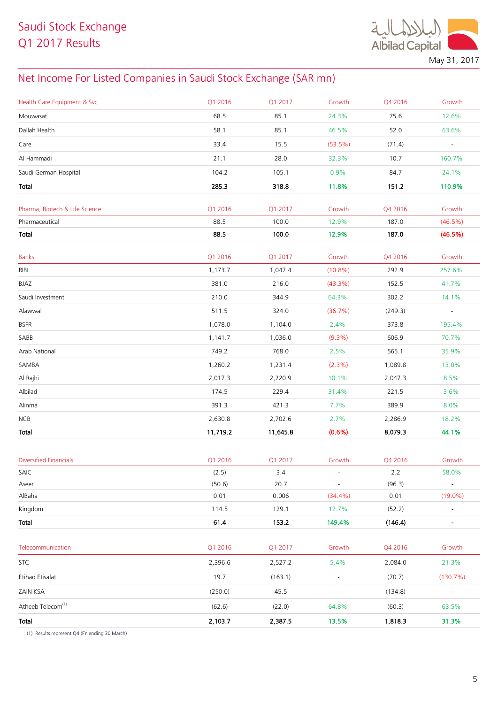

May 31, 2017

## Net Income For Listed Companies in Saudi Stock Exchange (SAR mn)

| Health Care Equipment & Svc    | Q1 2016  | Q1 2017  | Growth     | Q4 2016 | Growth                   |
|--------------------------------|----------|----------|------------|---------|--------------------------|
| Mouwasat                       | 68.5     | 85.1     | 24.3%      | 75.6    | 12.6%                    |
| Dallah Health                  | 58.1     | 85.1     | 46.5%      | 52.0    | 63.6%                    |
| Care                           | 33.4     | 15.5     | $(53.5\%)$ | (71.4)  | $\blacksquare$           |
| Al Hammadi                     | 21.1     | 28.0     | 32.3%      | 10.7    | 160.7%                   |
| Saudi German Hospital          | 104.2    | 105.1    | 0.9%       | 84.7    | 24.1%                    |
| Total                          | 285.3    | 318.8    | 11.8%      | 151.2   | 110.9%                   |
| Pharma, Biotech & Life Science | Q1 2016  | Q1 2017  | Growth     | Q4 2016 | Growth                   |
| Pharmaceutical                 | 88.5     | 100.0    | 12.9%      | 187.0   | $(46.5\%)$               |
| Total                          | 88.5     | 100.0    | 12.9%      | 187.0   | (46.5%)                  |
| <b>Banks</b>                   | Q1 2016  | Q1 2017  | Growth     | Q4 2016 | Growth                   |
| RIBL                           | 1,173.7  | 1,047.4  | $(10.8\%)$ | 292.9   | 257.6%                   |
| <b>BJAZ</b>                    | 381.0    | 216.0    | $(43.3\%)$ | 152.5   | 41.7%                    |
| Saudi Investment               | 210.0    | 344.9    | 64.3%      | 302.2   | 14.1%                    |
| Alawwal                        | 511.5    | 324.0    | (36.7%)    | (249.3) | $\overline{\phantom{a}}$ |
| <b>BSFR</b>                    | 1,078.0  | 1,104.0  | 2.4%       | 373.8   | 195.4%                   |
| SABB                           | 1,141.7  | 1,036.0  | $(9.3\%)$  | 606.9   | 70.7%                    |
| Arab National                  | 749.2    | 768.0    | 2.5%       | 565.1   | 35.9%                    |
| SAMBA                          | 1,260.2  | 1,231.4  | $(2.3\%)$  | 1,089.8 | 13.0%                    |
| Al Rajhi                       | 2,017.3  | 2,220.9  | 10.1%      | 2,047.3 | 8.5%                     |
| Albilad                        | 174.5    | 229.4    | 31.4%      | 221.5   | 3.6%                     |
| Alinma                         | 391.3    | 421.3    | 7.7%       | 389.9   | 8.0%                     |
| NCB                            | 2,630.8  | 2,702.6  | 2.7%       | 2,286.9 | 18.2%                    |
| Total                          | 11,719.2 | 11,645.8 | (0.6%)     | 8,079.3 | 44.1%                    |

| <b>Diversified Financials</b>                    | Q1 2016 | Q1 2017 | Growth                   | Q4 2016 | Growth                   |
|--------------------------------------------------|---------|---------|--------------------------|---------|--------------------------|
| SAIC                                             | (2.5)   | 3.4     | $\overline{\phantom{a}}$ | 2.2     | 58.0%                    |
| Aseer                                            | (50.6)  | 20.7    | $\blacksquare$           | (96.3)  | $\blacksquare$           |
| AlBaha                                           | 0.01    | 0.006   | $(34.4\%)$               | 0.01    | $(19.0\%)$               |
| Kingdom                                          | 114.5   | 129.1   | 12.7%                    | (52.2)  | $\overline{\phantom{a}}$ |
| Total                                            | 61.4    | 153.2   | 149.4%                   | (146.4) | $\blacksquare$           |
|                                                  |         |         |                          |         |                          |
| Telecommunication                                | Q1 2016 | Q1 2017 | Growth                   | Q4 2016 | Growth                   |
| <b>STC</b>                                       | 2,396.6 | 2,527.2 | 5.4%                     | 2,084.0 | 21.3%                    |
| <b>Etihad Etisalat</b>                           | 19.7    | (163.1) | $\sim$                   | (70.7)  | (130.7%)                 |
| ZAIN KSA                                         | (250.0) | 45.5    | $\overline{\phantom{a}}$ | (134.8) | $\overline{\phantom{a}}$ |
| Atheeb Telecom <sup>(1)</sup>                    | (62.6)  | (22.0)  | 64.8%                    | (60.3)  | 63.5%                    |
| Total                                            | 2,103.7 | 2,387.5 | 13.5%                    | 1,818.3 | 31.3%                    |
| $\sim$ $\sim$ $\sim$ $\sim$ $\sim$ $\sim$ $\sim$ |         |         |                          |         |                          |

(1) Results represent Q4 (FY ending 30 March)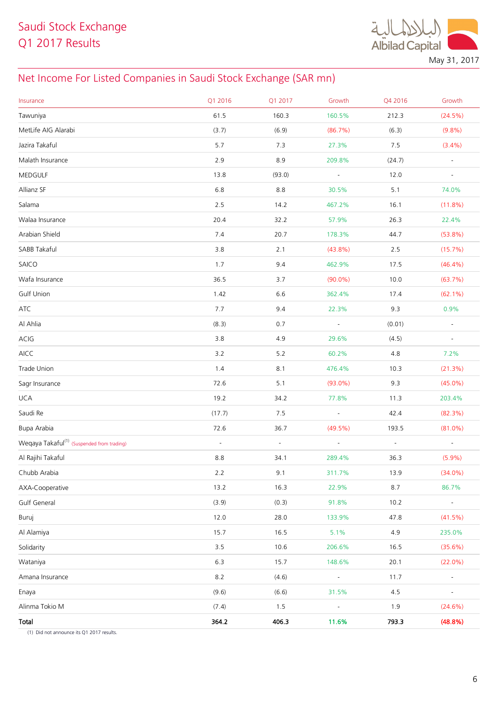**Albilad Capital** May 31, 2017

## Net Income For Listed Companies in Saudi Stock Exchange (SAR mn)

| Insurance                                              | Q1 2016  | Q1 2017             | Growth                   | Q4 2016  | Growth                   |
|--------------------------------------------------------|----------|---------------------|--------------------------|----------|--------------------------|
| Tawuniya                                               | 61.5     | 160.3               | 160.5%                   | 212.3    | $(24.5\%)$               |
| MetLife AIG Alarabi                                    | (3.7)    | (6.9)               | (86.7%)                  | (6.3)    | $(9.8\%)$                |
| Jazira Takaful                                         | 5.7      | 7.3                 | 27.3%                    | 7.5      | $(3.4\%)$                |
| Malath Insurance                                       | 2.9      | 8.9                 | 209.8%                   | (24.7)   | $\blacksquare$           |
| MEDGULF                                                | 13.8     | (93.0)              | $\blacksquare$           | 12.0     | $\overline{\phantom{a}}$ |
| Allianz SF                                             | 6.8      | 8.8                 | 30.5%                    | 5.1      | 74.0%                    |
| Salama                                                 | 2.5      | 14.2                | 467.2%                   | 16.1     | $(11.8\%)$               |
| Walaa Insurance                                        | 20.4     | 32.2                | 57.9%                    | 26.3     | 22.4%                    |
| Arabian Shield                                         | 7.4      | 20.7                | 178.3%                   | 44.7     | $(53.8\%)$               |
| SABB Takaful                                           | 3.8      | 2.1                 | $(43.8\%)$               | 2.5      | (15.7%)                  |
| SAICO                                                  | 1.7      | 9.4                 | 462.9%                   | 17.5     | $(46.4\%)$               |
| Wafa Insurance                                         | 36.5     | 3.7                 | $(90.0\%)$               | 10.0     | (63.7%)                  |
| Gulf Union                                             | 1.42     | 6.6                 | 362.4%                   | 17.4     | $(62.1\%)$               |
| ATC                                                    | 7.7      | 9.4                 | 22.3%                    | 9.3      | 0.9%                     |
| Al Ahlia                                               | (8.3)    | 0.7                 | $\sim$                   | (0.01)   | $\blacksquare$           |
| ACIG                                                   | 3.8      | 4.9                 | 29.6%                    | (4.5)    | $\overline{\phantom{a}}$ |
| AICC                                                   | 3.2      | 5.2                 | 60.2%                    | 4.8      | 7.2%                     |
| Trade Union                                            | 1.4      | 8.1                 | 476.4%                   | 10.3     | (21.3%)                  |
| Sagr Insurance                                         | 72.6     | 5.1                 | $(93.0\%)$               | 9.3      | $(45.0\%)$               |
| <b>UCA</b>                                             | 19.2     | 34.2                | 77.8%                    | 11.3     | 203.4%                   |
| Saudi Re                                               | (17.7)   | 7.5                 | $\omega$                 | 42.4     | (82.3%)                  |
| Bupa Arabia                                            | 72.6     | 36.7                | $(49.5\%)$               | 193.5    | $(81.0\%)$               |
| Weqaya Takaful <sup>(1)</sup> (Suspended from trading) | $\omega$ | $\bar{\phantom{a}}$ | $\omega$                 | $\omega$ | $\omega$                 |
| Al Rajihi Takaful                                      | 8.8      | 34.1                | 289.4%                   | 36.3     | $(5.9\%)$                |
| Chubb Arabia                                           | 2.2      | 9.1                 | 311.7%                   | 13.9     | $(34.0\%)$               |
| AXA-Cooperative                                        | 13.2     | 16.3                | 22.9%                    | 8.7      | 86.7%                    |
| Gulf General                                           | (3.9)    | (0.3)               | 91.8%                    | 10.2     |                          |
| Buruj                                                  | 12.0     | 28.0                | 133.9%                   | 47.8     | (41.5%)                  |
| Al Alamiya                                             | 15.7     | 16.5                | 5.1%                     | 4.9      | 235.0%                   |
| Solidarity                                             | 3.5      | 10.6                | 206.6%                   | 16.5     | (35.6%)                  |
| Wataniya                                               | 6.3      | 15.7                | 148.6%                   | 20.1     | $(22.0\%)$               |
| Amana Insurance                                        | $8.2\,$  | (4.6)               |                          | 11.7     | $\blacksquare$           |
| Enaya                                                  | (9.6)    | (6.6)               | 31.5%                    | 4.5      | $\overline{\phantom{a}}$ |
| Alinma Tokio M                                         | (7.4)    | $1.5$               | $\overline{\phantom{a}}$ | 1.9      | $(24.6\%)$               |
| Total                                                  | 364.2    | 406.3               | 11.6%                    | 793.3    | (48.8%)                  |

(1) Did not announce its Q1 2017 results.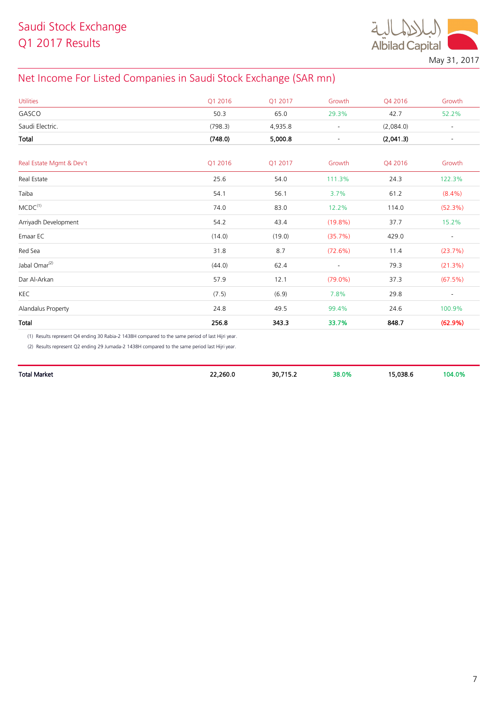

May 31, 2017

## Net Income For Listed Companies in Saudi Stock Exchange (SAR mn)

| <b>Utilities</b>          | Q1 2016 | Q1 2017 | Growth                   | Q4 2016   | Growth                   |
|---------------------------|---------|---------|--------------------------|-----------|--------------------------|
| GASCO                     | 50.3    | 65.0    | 29.3%                    | 42.7      | 52.2%                    |
| Saudi Electric.           | (798.3) | 4,935.8 | $\overline{\phantom{a}}$ | (2,084.0) | $\overline{\phantom{a}}$ |
| Total                     | (748.0) | 5,000.8 | $\overline{\phantom{a}}$ | (2,041.3) | $\overline{\phantom{a}}$ |
| Real Estate Mgmt & Dev't  | Q1 2016 | Q1 2017 | Growth                   | Q4 2016   | Growth                   |
| Real Estate               | 25.6    | 54.0    | 111.3%                   | 24.3      | 122.3%                   |
| Taiba                     | 54.1    | 56.1    | 3.7%                     | 61.2      | $(8.4\%)$                |
| MCDC <sup>(1)</sup>       | 74.0    | 83.0    | 12.2%                    | 114.0     | (52.3%)                  |
| Arriyadh Development      | 54.2    | 43.4    | $(19.8\%)$               | 37.7      | 15.2%                    |
| Emaar EC                  | (14.0)  | (19.0)  | (35.7%)                  | 429.0     | $\overline{\phantom{a}}$ |
| Red Sea                   | 31.8    | 8.7     | (72.6%)                  | 11.4      | (23.7%)                  |
| Jabal Omar <sup>(2)</sup> | (44.0)  | 62.4    | $\overline{\phantom{a}}$ | 79.3      | (21.3%)                  |
| Dar Al-Arkan              | 57.9    | 12.1    | $(79.0\%)$               | 37.3      | (67.5%)                  |
| KEC                       | (7.5)   | (6.9)   | 7.8%                     | 29.8      | $\overline{\phantom{a}}$ |
| Alandalus Property        | 24.8    | 49.5    | 99.4%                    | 24.6      | 100.9%                   |
| Total                     | 256.8   | 343.3   | 33.7%                    | 848.7     | (62.9%)                  |

)1( Results represent Q4 ending 30 Rabia-2 1438H compared to the same period of last Hijri year.

)2( Results represent Q2 ending 29 Jumada-2 1438H compared to the same period last Hijri year.

| Total Market | 22,260.0 | 30,715.2 | 38.0% | 15.038.6 | 04.0% |
|--------------|----------|----------|-------|----------|-------|